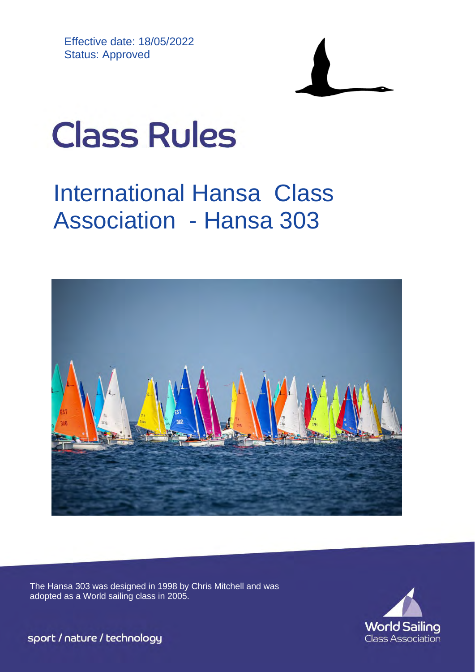Effective date: 18/05/2022 Status: Approved



# **Class Rules**

## International Hansa Class Association - Hansa 303



The Hansa 303 was designed in 1998 by Chris Mitchell and was adopted as a World sailing class in 2005.



sport / nature / technology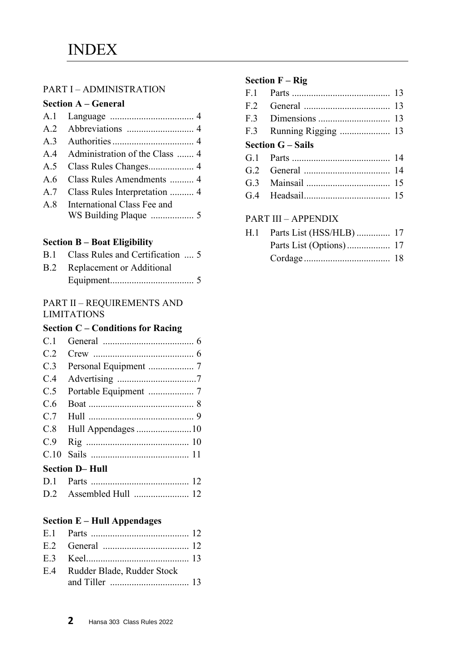#### PART I – ADMINISTRATION

| <b>Section A – General</b> |  |
|----------------------------|--|
|----------------------------|--|

| A.4 Administration of the Class  4 |
|------------------------------------|
|                                    |
| A.6 Class Rules Amendments  4      |
| A.7 Class Rules Interpretation  4  |
| A.8 International Class Fee and    |
|                                    |
|                                    |

#### **Section B – Boat Eligibility**

| B.1 Class Rules and Certification  5 |  |
|--------------------------------------|--|
| <b>B.2</b> Replacement or Additional |  |

#### PART II – REQUIREMENTS AND LIMITATIONS

#### **Section C – Conditions for Racing**

| C.1 |                       |  |
|-----|-----------------------|--|
| C.2 |                       |  |
| C.3 |                       |  |
| C.4 |                       |  |
| C.5 |                       |  |
| C.6 |                       |  |
| C.7 |                       |  |
|     |                       |  |
| C.9 |                       |  |
|     |                       |  |
|     | <b>Section D-Hull</b> |  |
|     |                       |  |

#### **Section E – Hull Appendages**

| E.4 Rudder Blade, Rudder Stock |  |
|--------------------------------|--|
|                                |  |

| F.1 |                              |  |
|-----|------------------------------|--|
| F.2 |                              |  |
| F.3 |                              |  |
| F.3 |                              |  |
|     | <b>Section G – Sails</b>     |  |
|     |                              |  |
|     |                              |  |
|     |                              |  |
|     |                              |  |
|     |                              |  |
|     | <b>PART III - APPENDIX</b>   |  |
|     | H.1 Parts List (HSS/HLB)  17 |  |

| $\frac{1}{2}$ and $\frac{1}{2}$ and $\frac{1}{2}$ and $\frac{1}{2}$ and $\frac{1}{2}$ are $\frac{1}{2}$ |  |
|---------------------------------------------------------------------------------------------------------|--|
|                                                                                                         |  |
|                                                                                                         |  |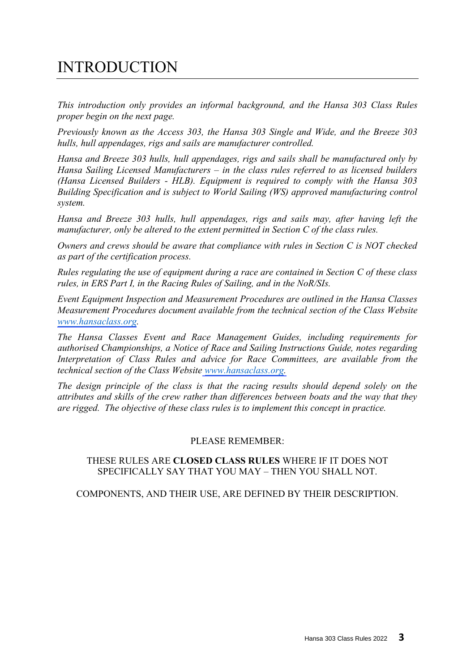## INTRODUCTION

*This introduction only provides an informal background, and the Hansa 303 Class Rules proper begin on the next page.* 

*Previously known as the Access 303, the Hansa 303 Single and Wide, and the Breeze 303 hulls, hull appendages, rigs and sails are manufacturer controlled.* 

*Hansa and Breeze 303 hulls, hull appendages, rigs and sails shall be manufactured only by Hansa Sailing Licensed Manufacturers – in the class rules referred to as licensed builders (Hansa Licensed Builders - HLB). Equipment is required to comply with the Hansa 303 Building Specification and is subject to World Sailing (WS) approved manufacturing control system.* 

*Hansa and Breeze 303 hulls, hull appendages, rigs and sails may, after having left the manufacturer, only be altered to the extent permitted in Section C of the class rules.* 

*Owners and crews should be aware that compliance with rules in Section C is NOT checked as part of the certification process.* 

*Rules regulating the use of equipment during a race are contained in Section C of these class rules, in ERS Part I, in the Racing Rules of Sailing, and in the NoR/SIs.* 

*Event Equipment Inspection and Measurement Procedures are outlined in the Hansa Classes Measurement Procedures document available from the technical section of the Class Website [www.hansaclass.or](https://hansaclass.org/technical/ihca-measurement-procedures/)[g.](http://www.hansaclass.org/)* 

*The Hansa Classes Event and Race Management Guides, including requirements for authorised Championships, a Notice of Race and Sailing Instructions Guide, notes regarding Interpretation of Class Rules and advice for Race Committees, are available from the technical section of the Class Websit[e www.hansaclass.org.](https://hansaclass.org/events/world-and-international-championships/)*

*The design principle of the class is that the racing results should depend solely on the attributes and skills of the crew rather than differences between boats and the way that they are rigged. The objective of these class rules is to implement this concept in practice.* 

#### PLEASE REMEMBER:

#### THESE RULES ARE **CLOSED CLASS RULES** WHERE IF IT DOES NOT SPECIFICALLY SAY THAT YOU MAY – THEN YOU SHALL NOT.

COMPONENTS, AND THEIR USE, ARE DEFINED BY THEIR DESCRIPTION.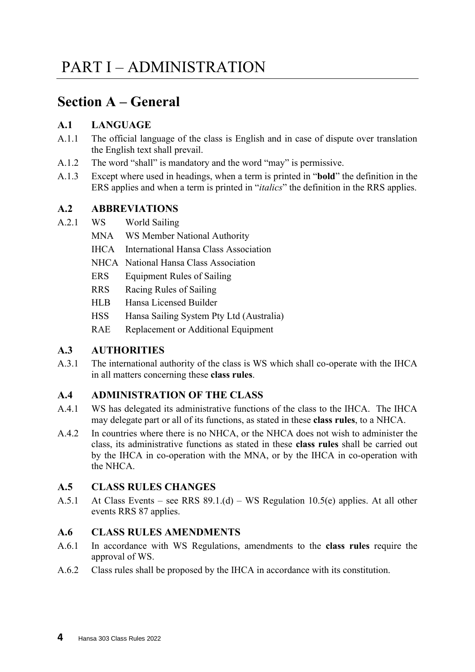## **Section A – General**

#### **A.1 LANGUAGE**

- A.1.1 The official language of the class is English and in case of dispute over translation the English text shall prevail.
- A.1.2 The word "shall" is mandatory and the word "may" is permissive.
- A.1.3 Except where used in headings, when a term is printed in "**bold**" the definition in the ERS applies and when a term is printed in "*italics*" the definition in the RRS applies.

#### **A.2 ABBREVIATIONS**

- A.2.1 WS World Sailing
	- MNA WS Member National Authority
	- IHCA International Hansa Class Association
	- NHCA National Hansa Class Association
	- ERS Equipment Rules of Sailing
	- RRS Racing Rules of Sailing
	- HLB Hansa Licensed Builder
	- HSS Hansa Sailing System Pty Ltd (Australia)
	- RAE Replacement or Additional Equipment

#### **A.3 AUTHORITIES**

A.3.1 The international authority of the class is WS which shall co-operate with the IHCA in all matters concerning these **class rules**.

#### **A.4 ADMINISTRATION OF THE CLASS**

- A.4.1 WS has delegated its administrative functions of the class to the IHCA. The IHCA may delegate part or all of its functions, as stated in these **class rules**, to a NHCA.
- A.4.2 In countries where there is no NHCA, or the NHCA does not wish to administer the class, its administrative functions as stated in these **class rules** shall be carried out by the IHCA in co-operation with the MNA, or by the IHCA in co-operation with the NHCA.

#### **A.5 CLASS RULES CHANGES**

A.5.1 At Class Events – see RRS 89.1.(d) – WS Regulation 10.5(e) applies. At all other events RRS 87 applies.

#### **A.6 CLASS RULES AMENDMENTS**

- A.6.1 In accordance with WS Regulations, amendments to the **class rules** require the approval of WS.
- A.6.2 Class rules shall be proposed by the IHCA in accordance with its constitution.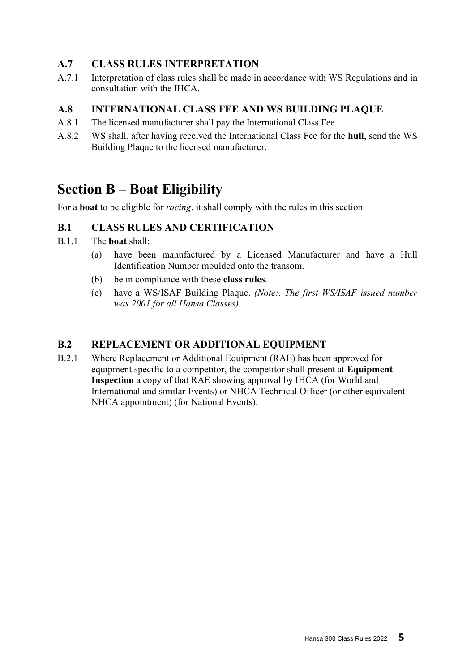#### **A.7 CLASS RULES INTERPRETATION**

A.7.1 Interpretation of class rules shall be made in accordance with WS Regulations and in consultation with the IHCA.

#### **A.8 INTERNATIONAL CLASS FEE AND WS BUILDING PLAQUE**

- A.8.1 The licensed manufacturer shall pay the International Class Fee.
- A.8.2 WS shall, after having received the International Class Fee for the **hull**, send the WS Building Plaque to the licensed manufacturer.

## **Section B – Boat Eligibility**

For a **boat** to be eligible for *racing*, it shall comply with the rules in this section.

#### **B.1 CLASS RULES AND CERTIFICATION**

- B.1.1 The **boat** shall:
	- (a) have been manufactured by a Licensed Manufacturer and have a Hull Identification Number moulded onto the transom.
	- (b) be in compliance with these **class rules**.
	- (c) have a WS/ISAF Building Plaque. *(Note:. The first WS/ISAF issued number was 2001 for all Hansa Classes).*

#### **B.2 REPLACEMENT OR ADDITIONAL EQUIPMENT**

B.2.1 Where Replacement or Additional Equipment (RAE) has been approved for equipment specific to a competitor, the competitor shall present at **Equipment Inspection** a copy of that RAE showing approval by IHCA (for World and International and similar Events) or NHCA Technical Officer (or other equivalent NHCA appointment) (for National Events).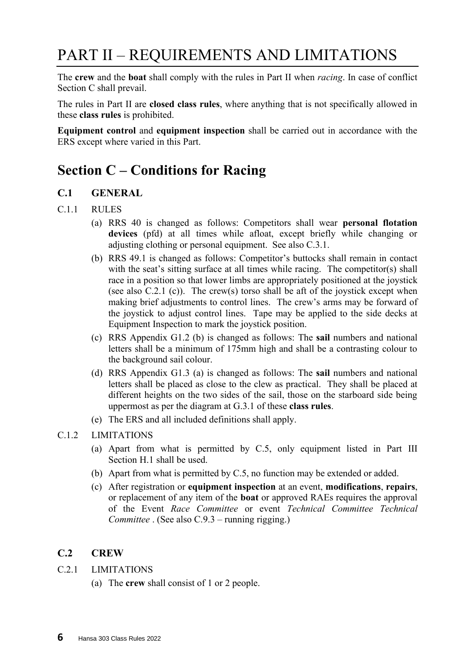## PART II – REQUIREMENTS AND LIMITATIONS

The **crew** and the **boat** shall comply with the rules in Part II when *racing*. In case of conflict Section C shall prevail.

The rules in Part II are **closed class rules**, where anything that is not specifically allowed in these **class rules** is prohibited.

**Equipment control** and **equipment inspection** shall be carried out in accordance with the ERS except where varied in this Part.

## **Section C – Conditions for Racing**

#### **C.1 GENERAL**

#### C.1.1 RULES

- (a) RRS 40 is changed as follows: Competitors shall wear **personal flotation devices** (pfd) at all times while afloat, except briefly while changing or adjusting clothing or personal equipment. See also C.3.1.
- (b) RRS 49.1 is changed as follows: Competitor's buttocks shall remain in contact with the seat's sitting surface at all times while racing. The competitor(s) shall race in a position so that lower limbs are appropriately positioned at the joystick (see also C.2.1 (c)). The crew(s) torso shall be aft of the joystick except when making brief adjustments to control lines. The crew's arms may be forward of the joystick to adjust control lines. Tape may be applied to the side decks at Equipment Inspection to mark the joystick position.
- (c) RRS Appendix G1.2 (b) is changed as follows: The **sail** numbers and national letters shall be a minimum of 175mm high and shall be a contrasting colour to the background sail colour.
- (d) RRS Appendix G1.3 (a) is changed as follows: The **sail** numbers and national letters shall be placed as close to the clew as practical. They shall be placed at different heights on the two sides of the sail, those on the starboard side being uppermost as per the diagram at G.3.1 of these **class rules**.
- (e) The ERS and all included definitions shall apply.
- C.1.2 LIMITATIONS
	- (a) Apart from what is permitted by C.5, only equipment listed in Part III Section H.1 shall be used.
	- (b) Apart from what is permitted by C.5, no function may be extended or added.
	- (c) After registration or **equipment inspection** at an event, **modifications**, **repairs**, or replacement of any item of the **boat** or approved RAEs requires the approval of the Event *Race Committee* or event *Technical Committee Technical Committee* . (See also C.9.3 – running rigging.)

#### **C.2 CREW**

- C.2.1 LIMITATIONS
	- (a) The **crew** shall consist of 1 or 2 people.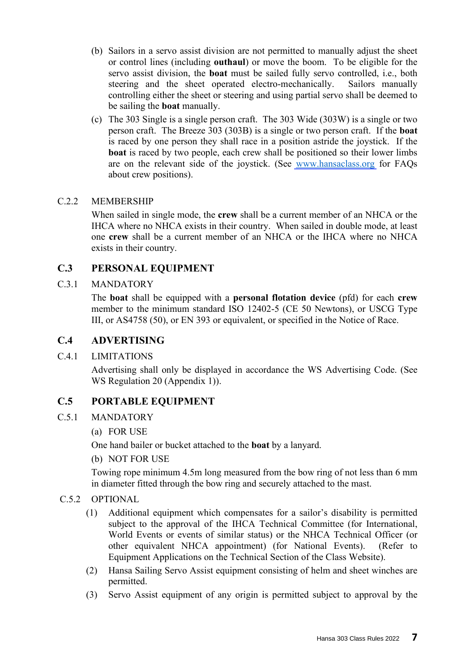- (b) Sailors in a servo assist division are not permitted to manually adjust the sheet or control lines (including **outhaul**) or move the boom. To be eligible for the servo assist division, the **boat** must be sailed fully servo controlled, i.e., both steering and the sheet operated electro-mechanically. Sailors manually controlling either the sheet or steering and using partial servo shall be deemed to be sailing the **boat** manually.
- (c) The 303 Single is a single person craft. The 303 Wide (303W) is a single or two person craft. The Breeze 303 (303B) is a single or two person craft. If the **boat** is raced by one person they shall race in a position astride the joystick. If the **boat** is raced by two people, each crew shall be positioned so their lower limbs are on the relevant side of the joystick. (See [www.hansaclass.org](https://hansaclass.org/technical/hansa-303-class-rules/) for FAQs about crew positions).

#### C.2.2 MEMBERSHIP

When sailed in single mode, the **crew** shall be a current member of an NHCA or the IHCA where no NHCA exists in their country. When sailed in double mode, at least one **crew** shall be a current member of an NHCA or the IHCA where no NHCA exists in their country.

#### **C.3 PERSONAL EQUIPMENT**

#### C.3.1 MANDATORY

The **boat** shall be equipped with a **personal flotation device** (pfd) for each **crew** member to the minimum standard ISO 12402-5 (CE 50 Newtons), or USCG Type III, or AS4758 (50), or EN 393 or equivalent, or specified in the Notice of Race.

#### **C.4 ADVERTISING**

#### C.4.1 LIMITATIONS

Advertising shall only be displayed in accordance the WS Advertising Code. (See WS Regulation 20 (Appendix 1)).

#### **C.5 PORTABLE EQUIPMENT**

#### C.5.1 MANDATORY

(a) FOR USE

One hand bailer or bucket attached to the **boat** by a lanyard.

(b) NOT FOR USE

Towing rope minimum 4.5m long measured from the bow ring of not less than 6 mm in diameter fitted through the bow ring and securely attached to the mast.

#### C.5.2 OPTIONAL

- (1) Additional equipment which compensates for a sailor's disability is permitted subject to the approval of the IHCA Technical Committee (for International, World Events or events of similar status) or the NHCA Technical Officer (or other equivalent NHCA appointment) (for National Events). (Refer to Equipment Applications on the Technical Section of the Class Website).
- (2) Hansa Sailing Servo Assist equipment consisting of helm and sheet winches are permitted.
- (3) Servo Assist equipment of any origin is permitted subject to approval by the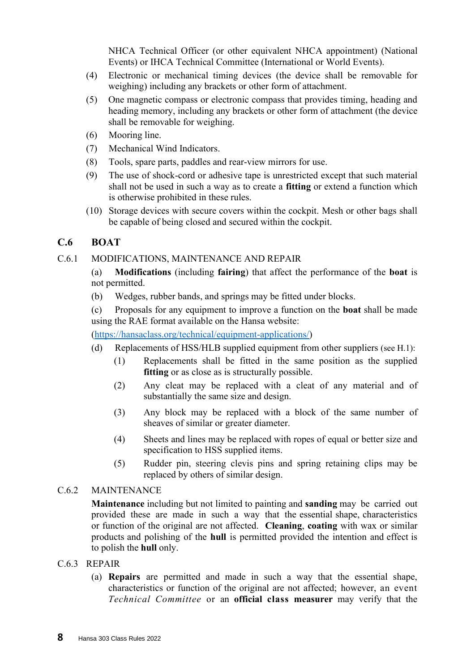NHCA Technical Officer (or other equivalent NHCA appointment) (National Events) or IHCA Technical Committee (International or World Events).

- (4) Electronic or mechanical timing devices (the device shall be removable for weighing) including any brackets or other form of attachment.
- (5) One magnetic compass or electronic compass that provides timing, heading and heading memory, including any brackets or other form of attachment (the device shall be removable for weighing.
- (6) Mooring line.
- (7) Mechanical Wind Indicators.
- (8) Tools, spare parts, paddles and rear-view mirrors for use.
- (9) The use of shock-cord or adhesive tape is unrestricted except that such material shall not be used in such a way as to create a **fitting** or extend a function which is otherwise prohibited in these rules.
- (10) Storage devices with secure covers within the cockpit. Mesh or other bags shall be capable of being closed and secured within the cockpit.

#### **C.6 BOAT**

#### C.6.1 MODIFICATIONS, MAINTENANCE AND REPAIR

(a) **Modifications** (including **fairing**) that affect the performance of the **boat** is not permitted.

(b) Wedges, rubber bands, and springs may be fitted under blocks.

(c) Proposals for any equipment to improve a function on the **boat** shall be made using the RAE format available on the Hansa website:

[\(https://hansaclass.org/technical/equipment-applications/\)](https://hansaclass.org/technical/equipment-applications/)

- (d) Replacements of HSS/HLB supplied equipment from other suppliers (see H.1):
	- (1) Replacements shall be fitted in the same position as the supplied **fitting** or as close as is structurally possible.
	- (2) Any cleat may be replaced with a cleat of any material and of substantially the same size and design.
	- (3) Any block may be replaced with a block of the same number of sheaves of similar or greater diameter.
	- (4) Sheets and lines may be replaced with ropes of equal or better size and specification to HSS supplied items.
	- (5) Rudder pin, steering clevis pins and spring retaining clips may be replaced by others of similar design.

#### C.6.2 MAINTENANCE

**Maintenance** including but not limited to painting and **sanding** may be carried out provided these are made in such a way that the essential shape, characteristics or function of the original are not affected. **Cleaning**, **coating** with wax or similar products and polishing of the **hull** is permitted provided the intention and effect is to polish the **hull** only.

#### C.6.3 REPAIR

(a) **Repairs** are permitted and made in such a way that the essential shape, characteristics or function of the original are not affected; however, an event *Technical Committee* or an **official class measurer** may verify that the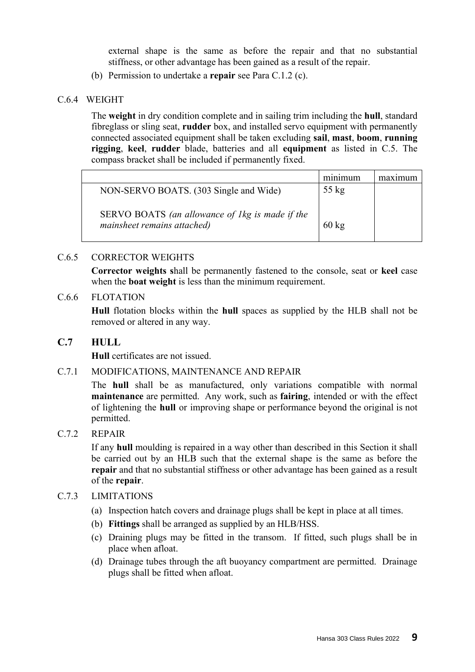external shape is the same as before the repair and that no substantial stiffness, or other advantage has been gained as a result of the repair.

(b) Permission to undertake a **repair** see Para C.1.2 (c).

#### C.6.4 WEIGHT

The **weight** in dry condition complete and in sailing trim including the **hull**, standard fibreglass or sling seat, **rudder** box, and installed servo equipment with permanently connected associated equipment shall be taken excluding **sail**, **mast**, **boom**, **running rigging**, **keel**, **rudder** blade, batteries and all **equipment** as listed in C.5. The compass bracket shall be included if permanently fixed.

|                                                                                | minimum         |  |
|--------------------------------------------------------------------------------|-----------------|--|
| NON-SERVO BOATS. (303 Single and Wide)                                         | $55 \text{ kg}$ |  |
| SERVO BOATS (an allowance of 1kg is made if the<br>mainsheet remains attached) | $60 \text{ kg}$ |  |

#### C.6.5 CORRECTOR WEIGHTS

**Corrector weights s**hall be permanently fastened to the console, seat or **keel** case when the **boat weight** is less than the minimum requirement.

#### C.6.6 FLOTATION

**Hull** flotation blocks within the **hull** spaces as supplied by the HLB shall not be removed or altered in any way.

#### **C.7 HULL**

**Hull** certificates are not issued.

#### C.7.1 MODIFICATIONS, MAINTENANCE AND REPAIR

The **hull** shall be as manufactured, only variations compatible with normal **maintenance** are permitted. Any work, such as **fairing**, intended or with the effect of lightening the **hull** or improving shape or performance beyond the original is not permitted.

#### C.7.2 REPAIR

If any **hull** moulding is repaired in a way other than described in this Section it shall be carried out by an HLB such that the external shape is the same as before the **repair** and that no substantial stiffness or other advantage has been gained as a result of the **repair**.

#### C.7.3 LIMITATIONS

- (a) Inspection hatch covers and drainage plugs shall be kept in place at all times.
- (b) **Fittings** shall be arranged as supplied by an HLB/HSS.
- (c) Draining plugs may be fitted in the transom. If fitted, such plugs shall be in place when afloat.
- (d) Drainage tubes through the aft buoyancy compartment are permitted. Drainage plugs shall be fitted when afloat.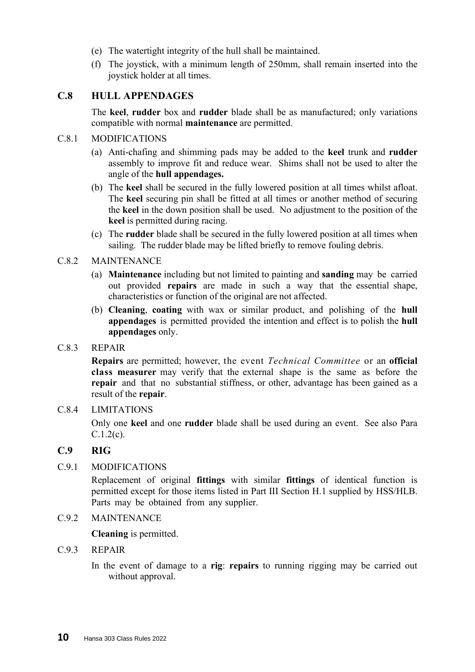- (e) The watertight integrity of the hull shall be maintained.
- (f) The joystick, with a minimum length of 250mm, shall remain inserted into the joystick holder at all times.

#### **C.8 HULL APPENDAGES**

The **keel**, **rudder** box and **rudder** blade shall be as manufactured; only variations compatible with normal **maintenance** are permitted.

#### C.8.1 MODIFICATIONS

- (a) Anti-chafing and shimming pads may be added to the **keel** trunk and **rudder** assembly to improve fit and reduce wear. Shims shall not be used to alter the angle of the **hull appendages.**
- (b) The **keel** shall be secured in the fully lowered position at all times whilst afloat. The **keel** securing pin shall be fitted at all times or another method of securing the **keel** in the down position shall be used. No adjustment to the position of the **keel** is permitted during racing.
- (c) The **rudder** blade shall be secured in the fully lowered position at all times when sailing. The rudder blade may be lifted briefly to remove fouling debris.

#### C.8.2 MAINTENANCE

- (a) **Maintenance** including but not limited to painting and **sanding** may be carried out provided **repairs** are made in such a way that the essential shape, characteristics or function of the original are not affected.
- (b) **Cleaning**, **coating** with wax or similar product, and polishing of the **hull appendages** is permitted provided the intention and effect is to polish the **hull appendages** only.
- C.8.3 REPAIR

**Repairs** are permitted; however, the event *Technical Committee* or an **official class measurer** may verify that the external shape is the same as before the **repair** and that no substantial stiffness, or other, advantage has been gained as a result of the **repair**.

#### C.8.4 LIMITATIONS

Only one **keel** and one **rudder** blade shall be used during an event. See also Para C.1.2(c).

#### **C.9 RIG**

#### C.9.1 MODIFICATIONS

Replacement of original **fittings** with similar **fittings** of identical function is permitted except for those items listed in Part III Section H.1 supplied by HSS/HLB. Parts may be obtained from any supplier.

C.9.2 MAINTENANCE

**Cleaning** is permitted.

#### C.9.3 REPAIR

In the event of damage to a **rig**: **repairs** to running rigging may be carried out without approval.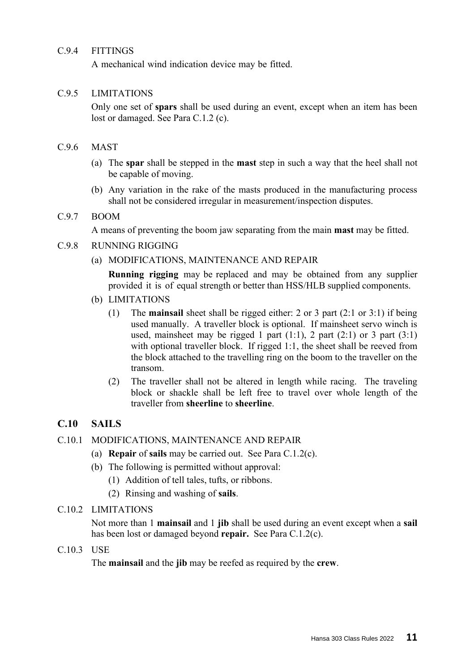#### C.9.4 FITTINGS

A mechanical wind indication device may be fitted.

#### C.9.5 LIMITATIONS

Only one set of **spars** shall be used during an event, except when an item has been lost or damaged. See Para C.1.2 (c).

#### C.9.6 MAST

- (a) The **spar** shall be stepped in the **mast** step in such a way that the heel shall not be capable of moving.
- (b) Any variation in the rake of the masts produced in the manufacturing process shall not be considered irregular in measurement/inspection disputes.

#### C.9.7 BOOM

A means of preventing the boom jaw separating from the main **mast** may be fitted.

#### C.9.8 RUNNING RIGGING

(a) MODIFICATIONS, MAINTENANCE AND REPAIR

**Running rigging** may be replaced and may be obtained from any supplier provided it is of equal strength or better than HSS/HLB supplied components.

- (b) LIMITATIONS
	- (1) The **mainsail** sheet shall be rigged either: 2 or 3 part (2:1 or 3:1) if being used manually. A traveller block is optional. If mainsheet servo winch is used, mainsheet may be rigged 1 part  $(1:1)$ , 2 part  $(2:1)$  or 3 part  $(3:1)$ with optional traveller block. If rigged 1:1, the sheet shall be reeved from the block attached to the travelling ring on the boom to the traveller on the transom.
	- (2) The traveller shall not be altered in length while racing. The traveling block or shackle shall be left free to travel over whole length of the traveller from **sheerline** to **sheerline**.

#### **C.10 SAILS**

- C.10.1 MODIFICATIONS, MAINTENANCE AND REPAIR
	- (a) **Repair** of **sails** may be carried out. See Para C.1.2(c).
	- (b) The following is permitted without approval:
		- (1) Addition of tell tales, tufts, or ribbons.
		- (2) Rinsing and washing of **sails**.

#### C.10.2 LIMITATIONS

Not more than 1 **mainsail** and 1 **jib** shall be used during an event except when a **sail** has been lost or damaged beyond **repair.** See Para C.1.2(c).

C.10.3 USE

The **mainsail** and the **jib** may be reefed as required by the **crew**.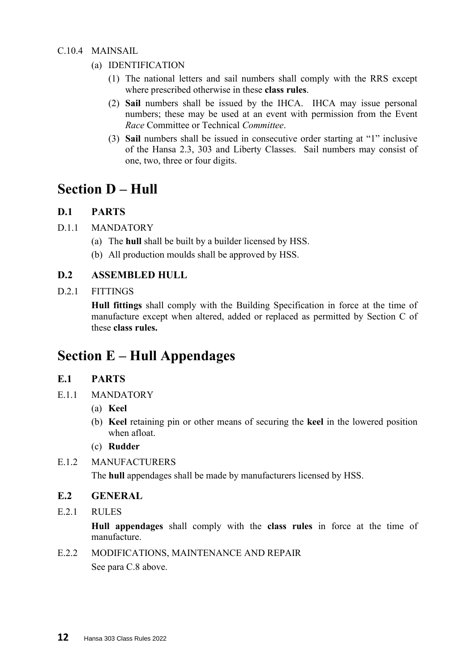#### C.10.4 MAINSAIL

- (a) IDENTIFICATION
	- (1) The national letters and sail numbers shall comply with the RRS except where prescribed otherwise in these **class rules**.
	- (2) **Sail** numbers shall be issued by the IHCA. IHCA may issue personal numbers; these may be used at an event with permission from the Event *Race* Committee or Technical *Committee*.
	- (3) **Sail** numbers shall be issued in consecutive order starting at "1" inclusive of the Hansa 2.3, 303 and Liberty Classes. Sail numbers may consist of one, two, three or four digits.

### **Section D – Hull**

#### **D.1 PARTS**

- D.1.1 MANDATORY
	- (a) The **hull** shall be built by a builder licensed by HSS.
	- (b) All production moulds shall be approved by HSS.

#### **D.2 ASSEMBLED HULL**

#### D.2.1 FITTINGS

**Hull fittings** shall comply with the Building Specification in force at the time of manufacture except when altered, added or replaced as permitted by Section C of these **class rules.**

## **Section E – Hull Appendages**

#### **E.1 PARTS**

- E.1.1 MANDATORY
	- (a) **Keel**
	- (b) **Keel** retaining pin or other means of securing the **keel** in the lowered position when afloat.
	- (c) **Rudder**
- E.1.2 MANUFACTURERS

The **hull** appendages shall be made by manufacturers licensed by HSS.

#### **E.2 GENERAL**

E.2.1 RULES

**Hull appendages** shall comply with the **class rules** in force at the time of manufacture.

E.2.2 MODIFICATIONS, MAINTENANCE AND REPAIR

See para C.8 above.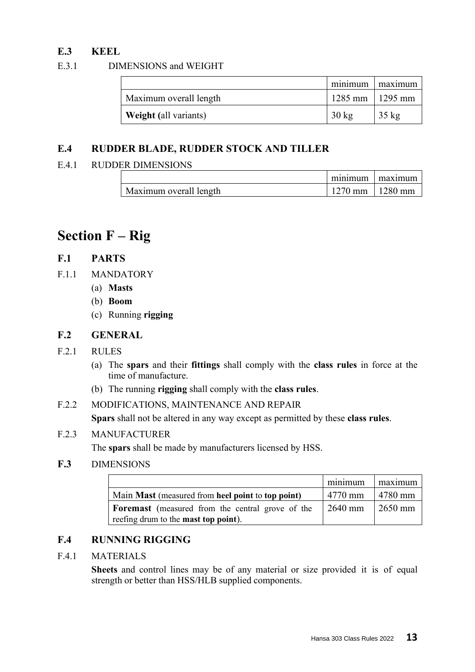#### **E.3 KEEL**

#### E.3.1 DIMENSIONS and WEIGHT

|                              | minimum maximum   |                 |
|------------------------------|-------------------|-----------------|
| Maximum overall length       | 1285 mm   1295 mm |                 |
| <b>Weight (all variants)</b> | $30 \text{ kg}$   | $35 \text{ kg}$ |

#### **E.4 RUDDER BLADE, RUDDER STOCK AND TILLER**

#### E.4.1 RUDDER DIMENSIONS

|                        | mınımı              | maximum |
|------------------------|---------------------|---------|
| Maximum overall length | $1270$ mm   1280 mm |         |

## **Section F – Rig**

#### **F.1 PARTS**

- F.1.1 MANDATORY
	- (a) **Masts**
	- (b) **Boom**
	- (c) Running **rigging**

#### **F.2 GENERAL**

#### F.2.1 RULES

- (a) The **spars** and their **fittings** shall comply with the **class rules** in force at the time of manufacture.
- (b) The running **rigging** shall comply with the **class rules**.
- F.2.2 MODIFICATIONS, MAINTENANCE AND REPAIR **Spars** shall not be altered in any way except as permitted by these **class rules**.

#### F.2.3 MANUFACTURER

The **spars** shall be made by manufacturers licensed by HSS.

#### **F.3** DIMENSIONS

|                                                         | minimum   | maximum             |
|---------------------------------------------------------|-----------|---------------------|
| Main Mast (measured from heel point to top point)       | 4770 mm   | $4780$ mm           |
| <b>Foremast</b> (measured from the central grove of the | $2640$ mm | $\frac{2650}{2}$ mm |
| reefing drum to the <b>mast top point</b> ).            |           |                     |

#### **F.4 RUNNING RIGGING**

#### F.4.1 MATERIALS

**Sheets** and control lines may be of any material or size provided it is of equal strength or better than HSS/HLB supplied components.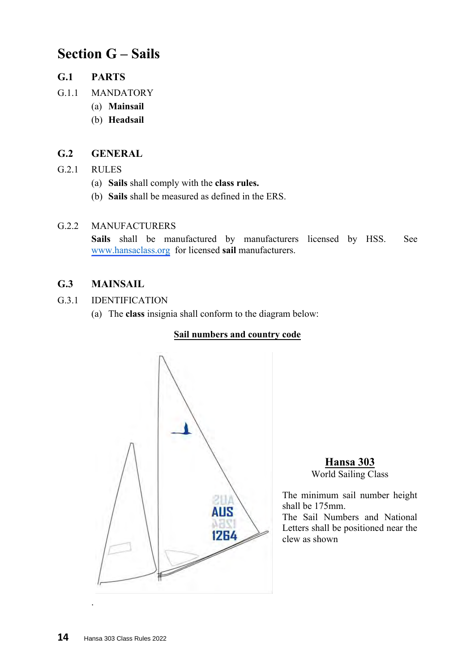## **Section G – Sails**

- **G.1 PARTS**
- G.1.1 MANDATORY
	- (a) **Mainsail**
	- (b) **Headsail**

#### **G.2 GENERAL**

- G.2.1 RULES
	- (a) **Sails** shall comply with the **class rules.**
	- (b) **Sails** shall be measured as defined in the ERS.

#### G.2.2 MANUFACTURERS

See **Sails** shall be manufactured by manufacturers licensed by HSS. [w](http://www.hansaclass.org/)[ww.hansaclass.or](https://hansaclass.org/about/approved-sail-makers/)[g](http://www.hansaclass.org/) for licensed **sail** manufacturers.

#### **G.3 MAINSAIL**

- G.3.1 IDENTIFICATION
	- (a) The **class** insignia shall conform to the diagram below:

#### **Sail numbers and country code**



#### **Hansa 303** World Sailing Class

The minimum sail number height shall be 175mm.

The Sail Numbers and National Letters shall be positioned near the clew as shown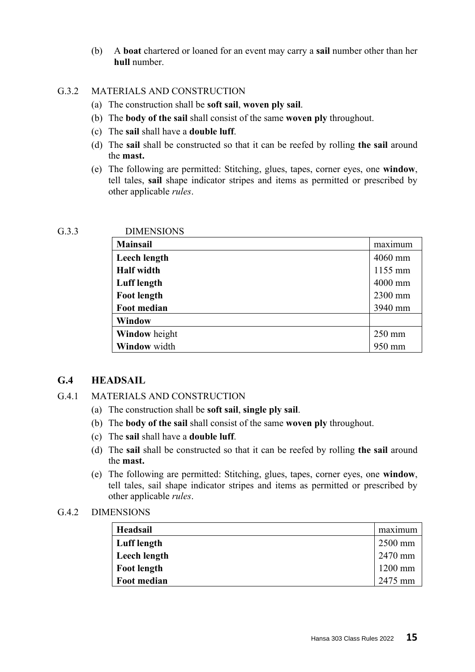(b) A **boat** chartered or loaned for an event may carry a **sail** number other than her **hull** number.

#### G.3.2 MATERIALS AND CONSTRUCTION

- (a) The construction shall be **soft sail**, **woven ply sail**.
- (b) The **body of the sail** shall consist of the same **woven ply** throughout.
- (c) The **sail** shall have a **double luff**.
- (d) The **sail** shall be constructed so that it can be reefed by rolling **the sail** around the **mast.**
- (e) The following are permitted: Stitching, glues, tapes, corner eyes, one **window**, tell tales, **sail** shape indicator stripes and items as permitted or prescribed by other applicable *rules*.

#### G.3.3 DIMENSIONS

| <b>Mainsail</b>      | maximum   |
|----------------------|-----------|
| Leech length         | $4060$ mm |
| <b>Half</b> width    | 1155 mm   |
| <b>Luff</b> length   | 4000 mm   |
| <b>Foot length</b>   | 2300 mm   |
| Foot median          | 3940 mm   |
| <b>Window</b>        |           |
| <b>Window</b> height | $250$ mm  |
| Window width         | 950 mm    |

#### **G.4 HEADSAIL**

#### G.4.1 MATERIALS AND CONSTRUCTION

- (a) The construction shall be **soft sail**, **single ply sail**.
- (b) The **body of the sail** shall consist of the same **woven ply** throughout.
- (c) The **sail** shall have a **double luff**.
- (d) The **sail** shall be constructed so that it can be reefed by rolling **the sail** around the **mast.**
- (e) The following are permitted: Stitching, glues, tapes, corner eyes, one **window**, tell tales, sail shape indicator stripes and items as permitted or prescribed by other applicable *rules*.

#### G.4.2 DIMENSIONS

| Headsail           | maximum   |
|--------------------|-----------|
| Luff length        | $2500$ mm |
| Leech length       | $2470$ mm |
| <b>Foot length</b> | $1200$ mm |
| Foot median        | 2475 mm   |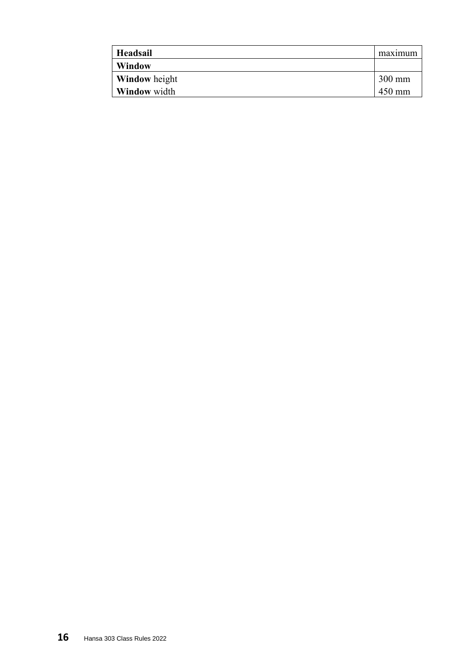| Headsail             | maximum          |
|----------------------|------------------|
| <b>Window</b>        |                  |
| <b>Window</b> height | $300 \text{ mm}$ |
| <b>Window</b> width  | 450 mm           |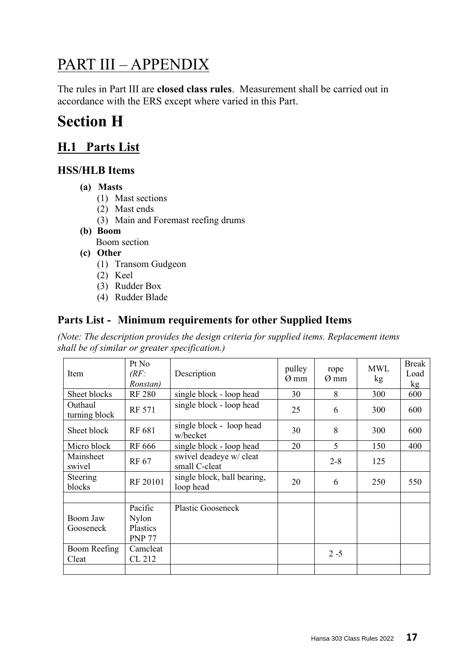## PART III – APPENDIX

The rules in Part III are **closed class rules**. Measurement shall be carried out in accordance with the ERS except where varied in this Part.

## **Section H**

## **H.1 Parts List**

#### **HSS/HLB Items**

- **(a) Masts**
	- (1) Mast sections
	- (2) Mast ends
	- (3) Main and Foremast reefing drums
- **(b) Boom**

Boom section

- **(c) Other**
	- (1) Transom Gudgeon
	- (2) Keel
	- (3) Rudder Box
	- (4) Rudder Blade

#### **Parts List - Minimum requirements for other Supplied Items**

*(Note: The description provides the design criteria for supplied items. Replacement items shall be of similar or greater specification.)*

| Item                     | Pt No<br>(RF)<br>Ronstan)                            | Description                              | pulley<br>$\varnothing$ mm | rope<br>$\varnothing$ mm | <b>MWL</b><br>kg | <b>Break</b><br>Load<br>kg |
|--------------------------|------------------------------------------------------|------------------------------------------|----------------------------|--------------------------|------------------|----------------------------|
| Sheet blocks             | <b>RF 280</b>                                        | single block - loop head                 | 30                         | 8                        | 300              | 600                        |
| Outhaul<br>turning block | <b>RF 571</b>                                        | single block - loop head                 | 25                         | 6                        | 300              | 600                        |
| Sheet block              | RF 681                                               | single block - loop head<br>w/becket     | 30                         | 8                        | 300              | 600                        |
| Micro block              | <b>RF</b> 666                                        | single block - loop head                 | 20                         | 5                        | 150              | 400                        |
| Mainsheet<br>swivel      | RF 67                                                | swivel deadeye w/ cleat<br>small C-cleat |                            | $2 - 8$                  | 125              |                            |
| Steering<br>blocks       | RF 20101                                             | single block, ball bearing,<br>loop head | 20                         | 6                        | 250              | 550                        |
|                          |                                                      |                                          |                            |                          |                  |                            |
| Boom Jaw<br>Gooseneck    | Pacific<br><b>Nylon</b><br>Plastics<br><b>PNP 77</b> | <b>Plastic Gooseneck</b>                 |                            |                          |                  |                            |
| Boom Reefing<br>Cleat    | Camcleat<br>CL 212                                   |                                          |                            | $2 - 5$                  |                  |                            |
|                          |                                                      |                                          |                            |                          |                  |                            |